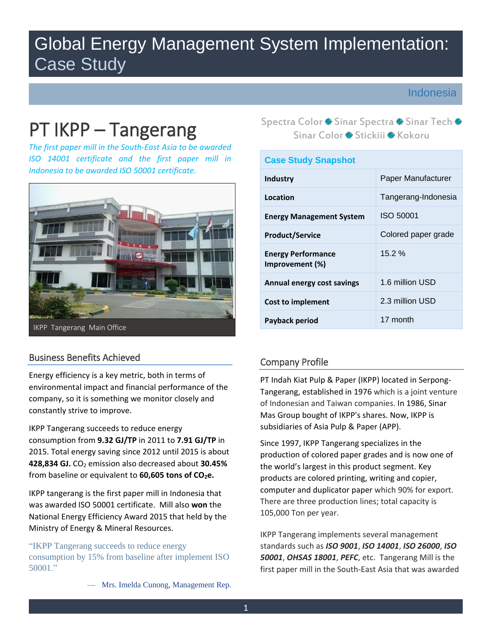# Global Energy Management System Implementation: Case Study

# Indonesia

 *The first paper mill in the South-East Asia to be awarded Indonesia to be awarded ISO 50001 certificate. ISO 14001 certificate and the first paper mill in* 



# Business Benefits Achieved

 Energy efficiency is a key metric, both in terms of environmental impact and financial performance of the company, so it is something we monitor closely and constantly strive to improve.

 consumption from **9.32 GJ/TP** in 2011 to **7.91 GJ/TP** in IKPP Tangerang succeeds to reduce energy 2015. Total energy saving since 2012 until 2015 is about **428,834 GJ.** CO2 emission also decreased about **30.45%**  from baseline or equivalent to **60,605 tons of CO<sub>2</sub>e.** 

 was awarded ISO 50001 certificate. Mill also **won** the National Energy Efficiency Award 2015 that held by the IKPP tangerang is the first paper mill in Indonesia that Ministry of Energy & Mineral Resources.

"IKPP Tangerang succeeds to reduce energy consumption by 15% from baseline after implement ISO 50001."

Spectra Color \* Sinar Spectra \* Sinar Tech Sinar Tech Sinar Color \* Struckiii \* Kokoru Spectra Color \* Sinar Spectra \* Sinar Tech \* Sinar Color \* Stickiji \* Kokoru

| <b>Case Study Snapshot</b>                   |                     |  |  |  |  |
|----------------------------------------------|---------------------|--|--|--|--|
| Industry                                     | Paper Manufacturer  |  |  |  |  |
| Location                                     | Tangerang-Indonesia |  |  |  |  |
| <b>Energy Management System</b>              | ISO 50001           |  |  |  |  |
| <b>Product/Service</b>                       | Colored paper grade |  |  |  |  |
| <b>Energy Performance</b><br>Improvement (%) | 15.2%               |  |  |  |  |
| Annual energy cost savings                   | 1.6 million USD     |  |  |  |  |
| Cost to implement                            | 2.3 million USD     |  |  |  |  |
| Payback period                               | 17 month            |  |  |  |  |

# Company Profile

PT Indah Kiat Pulp & Paper (IKPP) located in Serpong-Tangerang, established in 1976 which is a joint venture of Indonesian and Taiwan companies. In 1986, Sinar Mas Group bought of IKPP's shares. Now, IKPP is subsidiaries of Asia Pulp & Paper (APP).

105,000 Ton per year. Since 1997, IKPP Tangerang specializes in the production of colored paper grades and is now one of the world's largest in this product segment. Key products are colored printing, writing and copier, computer and duplicator paper which 90% for export. There are three production lines; total capacity is

 *50001*, *OHSAS 18001*, *PEFC*, etc. Tangerang Mill is the first paper mill in the South-East Asia that was awarded IKPP Tangerang implements several management standards such as *ISO 9001*, *ISO 14001*, *ISO 26000*, *ISO* 

— Mrs. Imelda Cunong, Management Rep.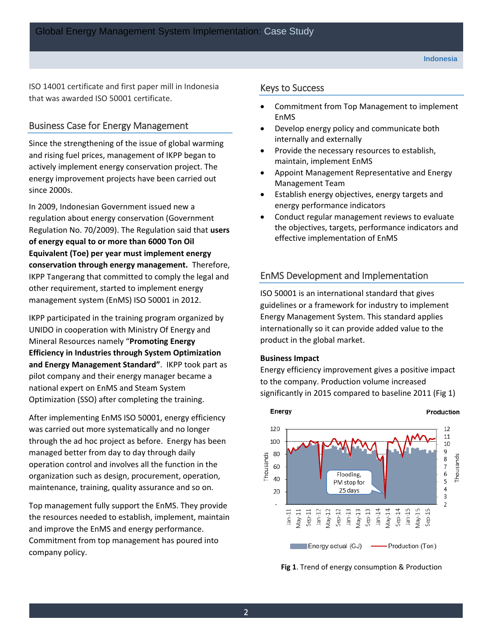ISO 14001 certificate and first paper mill in Indonesia that was awarded ISO 50001 certificate.

### Business Case for Energy Management

 energy improvement projects have been carried out since 2000s. Since the strengthening of the issue of global warming and rising fuel prices, management of IKPP began to actively implement energy conservation project. The

 **conservation through energy management.** Therefore, management system (EnMS) ISO 50001 in 2012. In 2009, Indonesian Government issued new a regulation about energy conservation (Government Regulation No. 70/2009). The Regulation said that **users of energy equal to or more than 6000 Ton Oil Equivalent (Toe) per year must implement energy**  IKPP Tangerang that committed to comply the legal and other requirement, started to implement energy

 IKPP participated in the training program organized by UNIDO in cooperation with Ministry Of Energy and Mineral Resources namely "**Promoting Energy Efficiency in Industries through System Optimization and Energy Management Standard"**. IKPP took part as pilot company and their energy manager became a national expert on EnMS and Steam System Optimization (SSO) after completing the training.

 maintenance, training, quality assurance and so on. After implementing EnMS ISO 50001, energy efficiency was carried out more systematically and no longer through the ad hoc project as before. Energy has been managed better from day to day through daily operation control and involves all the function in the organization such as design, procurement, operation,

Top management fully support the EnMS. They provide the resources needed to establish, implement, maintain and improve the EnMS and energy performance. Commitment from top management has poured into company policy.

#### Keys to Success

- Commitment from Top Management to implement EnMS
- Develop energy policy and communicate both internally and externally
- Provide the necessary resources to establish, maintain, implement EnMS
- Appoint Management Representative and Energy Management Team
- Establish energy objectives, energy targets and energy performance indicators
- Conduct regular management reviews to evaluate the objectives, targets, performance indicators and effective implementation of EnMS

## EnMS Development and Implementation

 ISO 50001 is an international standard that gives guidelines or a framework for industry to implement Energy Management System. This standard applies internationally so it can provide added value to the product in the global market.

#### **Business Impact**

Energy efficiency improvement gives a positive impact to the company. Production volume increased significantly in 2015 compared to baseline 2011 (Fig 1)



**Fig 1**. Trend of energy consumption & Production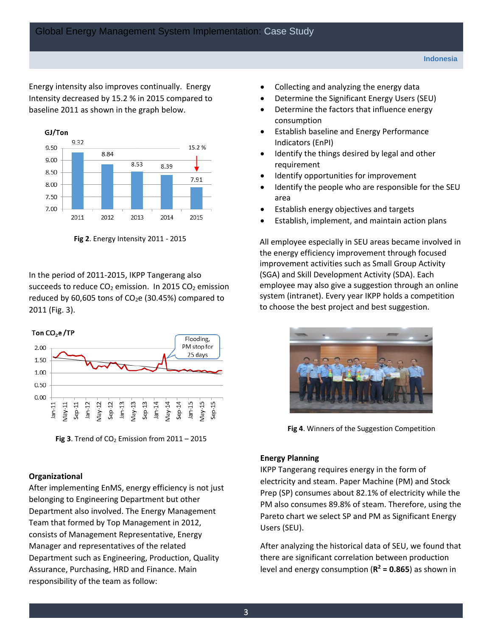Energy intensity also improves continually. Energy baseline 2011 as shown in the graph below. Intensity decreased by 15.2 % in 2015 compared to



**Fig 2**. Energy Intensity 2011 - 2015

succeeds to reduce  $CO<sub>2</sub>$  emission. In 2015  $CO<sub>2</sub>$  emission In the period of 2011-2015, IKPP Tangerang also reduced by 60,605 tons of  $CO<sub>2</sub>e$  (30.45%) compared to 2011 (Fig. 3).



**Fig 3**. Trend of  $CO<sub>2</sub>$  Emission from  $2011 - 2015$ 

#### **Organizational**

After implementing EnMS, energy efficiency is not just belonging to Engineering Department but other Department also involved. The Energy Management Team that formed by Top Management in 2012, consists of Management Representative, Energy Manager and representatives of the related Department such as Engineering, Production, Quality Assurance, Purchasing, HRD and Finance. Main responsibility of the team as follow:

- Collecting and analyzing the energy data
- Determine the Significant Energy Users (SEU)
- Determine the factors that influence energy consumption
- Establish baseline and Energy Performance Indicators (EnPI)
- Identify the things desired by legal and other requirement
- Identify opportunities for improvement
- Identify the people who are responsible for the SEU area
- Establish energy objectives and targets
- Establish, implement, and maintain action plans

 All employee especially in SEU areas became involved in the energy efficiency improvement through focused improvement activities such as Small Group Activity (SGA) and Skill Development Activity (SDA). Each employee may also give a suggestion through an online system (intranet). Every year IKPP holds a competition to choose the best project and best suggestion.



**Fig 4**. Winners of the Suggestion Competition

#### **Energy Planning**

 PM also consumes 89.8% of steam. Therefore, using the IKPP Tangerang requires energy in the form of electricity and steam. Paper Machine (PM) and Stock Prep (SP) consumes about 82.1% of electricity while the Pareto chart we select SP and PM as Significant Energy Users (SEU).

After analyzing the historical data of SEU, we found that there are significant correlation between production level and energy consumption  $(R^2 = 0.865)$  as shown in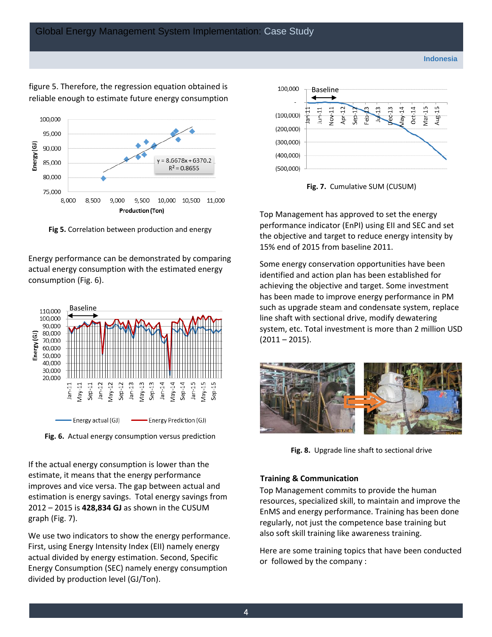#### reliable enough to estimate future energy consumption figure 5. Therefore, the regression equation obtained is



**Fig 5.** Correlation between production and energy

 consumption (Fig. 6). Energy performance can be demonstrated by comparing actual energy consumption with the estimated energy





 2012 – 2015 is **428,834 GJ** as shown in the CUSUM If the actual energy consumption is lower than the estimate, it means that the energy performance improves and vice versa. The gap between actual and estimation is energy savings. Total energy savings from graph (Fig. 7).

We use two indicators to show the energy performance. First, using Energy Intensity Index (EII) namely energy actual divided by energy estimation. Second, Specific Energy Consumption (SEC) namely energy consumption divided by production level (GJ/Ton).



**Fig. 7.** Cumulative SUM (CUSUM)

Top Management has approved to set the energy performance indicator (EnPI) using EII and SEC and set the objective and target to reduce energy intensity by 15% end of 2015 from baseline 2011.

 (2011 – 2015). Some energy conservation opportunities have been identified and action plan has been established for achieving the objective and target. Some investment has been made to improve energy performance in PM such as upgrade steam and condensate system, replace line shaft with sectional drive, modify dewatering system, etc. Total investment is more than 2 million USD



**Fig. 8.** Upgrade line shaft to sectional drive

#### **Training & Communication**

 also soft skill training like awareness training. Top Management commits to provide the human resources, specialized skill, to maintain and improve the EnMS and energy performance. Training has been done regularly, not just the competence base training but

Here are some training topics that have been conducted or followed by the company :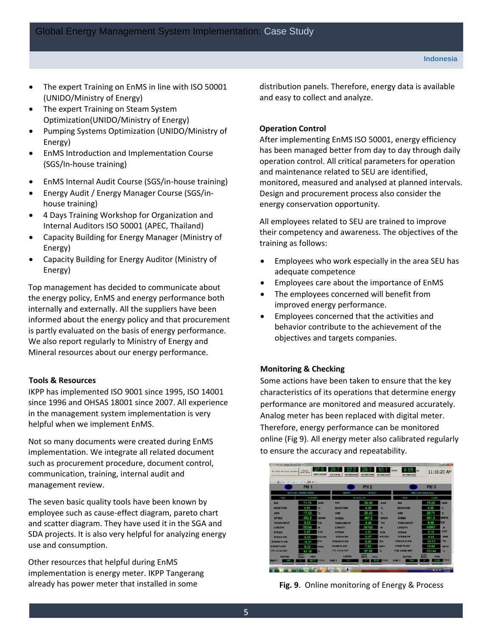- The expert Training on EnMS in line with ISO 50001 (UNIDO/Ministry of Energy)
- The expert Training on Steam System Optimization(UNIDO/Ministry of Energy)
- Pumping Systems Optimization (UNIDO/Ministry of Energy)
- EnMS Introduction and Implementation Course (SGS/In-house training)
- EnMS Internal Audit Course (SGS/in-house training)
- Energy Audit / Energy Manager Course (SGS/inhouse training)
- Internal Auditors ISO 50001 (APEC, Thailand) 4 Days Training Workshop for Organization and
- Capacity Building for Energy Manager (Ministry of Energy)
- Capacity Building for Energy Auditor (Ministry of Energy)

Top management has decided to communicate about the energy policy, EnMS and energy performance both internally and externally. All the suppliers have been informed about the energy policy and that procurement is partly evaluated on the basis of energy performance. We also report regularly to Ministry of Energy and Mineral resources about our energy performance.

#### **Tools & Resources**

helpful when we implement EnMS. helpful when we implement EnMS.<br>Not so many documents were created during EnMS IKPP has implemented ISO 9001 since 1995, ISO 14001 since 1996 and OHSAS 18001 since 2007. All experience in the management system implementation is very

management review. implementation. We integrate all related document such as procurement procedure, document control, communication, training, internal audit and

 employee such as cause-effect diagram, pareto chart The seven basic quality tools have been known by and scatter diagram. They have used it in the SGA and SDA projects. It is also very helpful for analyzing energy use and consumption.

Other resources that helpful during EnMS implementation is energy meter. IKPP Tangerang already has power meter that installed in some

distribution panels. Therefore, energy data is available and easy to collect and analyze.

#### **Operation Control**

 and maintenance related to SEU are identified, After implementing EnMS ISO 50001, energy efficiency has been managed better from day to day through daily operation control. All critical parameters for operation monitored, measured and analysed at planned intervals. Design and procurement process also consider the energy conservation opportunity.

All employees related to SEU are trained to improve their competency and awareness. The objectives of the training as follows:

- Employees who work especially in the area SEU has adequate competence
- Employees care about the importance of EnMS
- The employees concerned will benefit from improved energy performance.
- Employees concerned that the activities and behavior contribute to the achievement of the objectives and targets companies.

### **Monitoring & Checking**

 online (Fig 9). All energy meter also calibrated regularly Some actions have been taken to ensure that the key characteristics of its operations that determine energy performance are monitored and measured accurately. Analog meter has been replaced with digital meter. Therefore, energy performance can be monitored to ensure the accuracy and repeatability.

| For 1 NETHER THE 214 FEBR THE SHERWIS          | PEWER.<br><b>MISSICANS</b>   | COMPUTER ROOM           | 32<br>SCENE PHONES<br><b>PMICRAFORM</b> | 28<br>FAIT DEME THINK | 33<br><b>FRO DIR/ERUCER</b> | 05<br>Celvine<br>Rw<br><b>AIRCOMPRESSOR</b> | 11:16:20 AM                 |              |
|------------------------------------------------|------------------------------|-------------------------|-----------------------------------------|-----------------------|-----------------------------|---------------------------------------------|-----------------------------|--------------|
| Ed = Fasel Hattine Speciesm Oats For III AB 49 | <b>PM 1</b>                  |                         |                                         | <b>PM 2</b>           |                             |                                             | PM <sub>3</sub>             |              |
|                                                | SWOLL CARL LIFECHTING EVANS  |                         | 10,5531                                 | <b>LEGACUL</b>        |                             |                                             | SIDE 12 Salt Clarked Feach  |              |
| men                                            | <b>E CANTO</b>               |                         |                                         | <b>B OCTAB 03</b>     |                             | IT. T                                       | H IED                       |              |
| <b>HW</b>                                      | 71.74                        | <b>GSM</b>              | BW                                      | 54.68                 | GSIE                        | BW                                          | 79.28                       | <b>GSM</b>   |
| <b>MOISTURS</b>                                | 4.91                         | ×                       | <b>MOISTURE</b>                         | 4.49                  | ×                           | <b>MOISTURE</b>                             | 4.85                        | 91           |
| ASH                                            | 17.62                        | ×.                      | <b>ASH</b>                              | 20.42                 | $\infty$                    | ASH                                         | 20.71                       | ×            |
| SPEED                                          | 502.2                        | <b>MMMIN</b>            | <b>SPEED</b>                            | 487.2                 | <b>MININ</b>                | SPEED                                       | 501.2                       | <b>MININ</b> |
| <b>THROUGPUT</b>                               | 6.03                         | TIH                     | <b>THROUGHUT</b>                        | 4.44                  | <b>T/H</b>                  | <b>THROUGPUT</b>                            | 6.68                        | TH           |
| <b>LENGTH</b>                                  | 15234                        | $\overline{\mathbf{z}}$ | LENGTH                                  | 26103                 | M                           | LENGTH                                      | 18987                       | M            |
| <b>STRAM</b>                                   | 2.07                         | TITP                    | <b>STEAM</b>                            | 2.01                  | <b>T/TP</b>                 | <b>STRAM</b>                                | 2.12                        | TITP         |
| <b>STEAM PR.</b>                               | 6.00                         | <b>KOICME</b>           | STEAM PR.                               | 6.07                  | KG/CM2                      | <b>STEAM PR.</b>                            | 6.02                        | <b>BAR</b>   |
| <b>STEAM FLOW</b>                              | 12.51                        | TIN                     | <b>STEAM FLOW</b>                       | <b>B. 84</b>          | <b>T/M</b>                  | <b>STEAM FLOW</b>                           | 14.17                       | THE          |
| <b>COND FLOW</b>                               | 8.33                         | <b>M354</b>             | <b>COND FLOW</b>                        | 7.92                  | <b>M3/H</b>                 | <b>COND FLOW</b>                            | 10.85                       | <b>M3/H</b>  |
| <b>YTE COND RET</b>                            | 91.19<br>SHEET               | m.                      | <b>YTD COND RET</b>                     | 97.95<br>SHEST        | N.                          | <b>YTD COND RET</b>                         | 101.44<br>SHEET             | ×.           |
| <b>BUNTINE</b>                                 | <b>FROO</b><br><b>GIREAR</b> |                         | RUNTING                                 | <b>ERSTA</b><br>PROD  |                             | <b>RUNDING</b>                              | <b>PROD</b><br><b>HREAD</b> |              |
| Shift 1<br>e oo                                | 111.17                       | TONS                    | enin -<br>e e                           | 15.07                 | TONS                        | Shift <sub>1</sub><br>7.12                  | 5150<br>n                   | <b>TOMS</b>  |